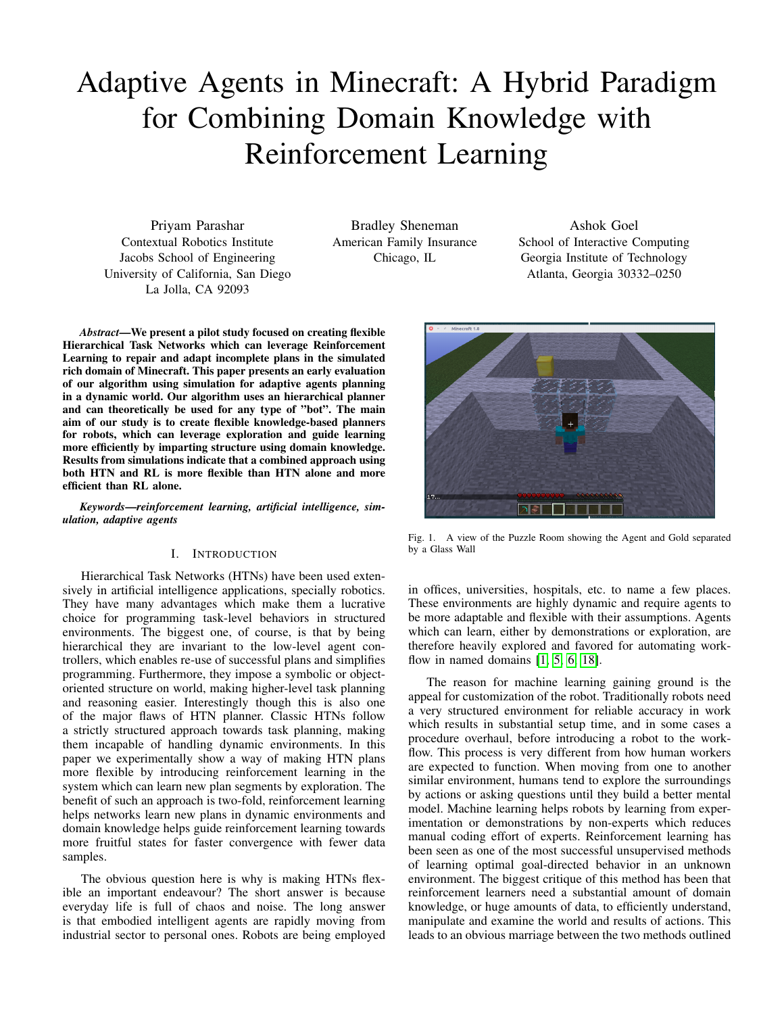# Adaptive Agents in Minecraft: A Hybrid Paradigm for Combining Domain Knowledge with Reinforcement Learning

Priyam Parashar Contextual Robotics Institute Jacobs School of Engineering University of California, San Diego La Jolla, CA 92093

Bradley Sheneman American Family Insurance Chicago, IL

Ashok Goel School of Interactive Computing Georgia Institute of Technology Atlanta, Georgia 30332–0250

*Abstract*—We present a pilot study focused on creating flexible Hierarchical Task Networks which can leverage Reinforcement Learning to repair and adapt incomplete plans in the simulated rich domain of Minecraft. This paper presents an early evaluation of our algorithm using simulation for adaptive agents planning in a dynamic world. Our algorithm uses an hierarchical planner and can theoretically be used for any type of "bot". The main aim of our study is to create flexible knowledge-based planners for robots, which can leverage exploration and guide learning more efficiently by imparting structure using domain knowledge. Results from simulations indicate that a combined approach using both HTN and RL is more flexible than HTN alone and more efficient than RL alone.

*Keywords*—*reinforcement learning, artificial intelligence, simulation, adaptive agents*

### I. INTRODUCTION

Hierarchical Task Networks (HTNs) have been used extensively in artificial intelligence applications, specially robotics. They have many advantages which make them a lucrative choice for programming task-level behaviors in structured environments. The biggest one, of course, is that by being hierarchical they are invariant to the low-level agent controllers, which enables re-use of successful plans and simplifies programming. Furthermore, they impose a symbolic or objectoriented structure on world, making higher-level task planning and reasoning easier. Interestingly though this is also one of the major flaws of HTN planner. Classic HTNs follow a strictly structured approach towards task planning, making them incapable of handling dynamic environments. In this paper we experimentally show a way of making HTN plans more flexible by introducing reinforcement learning in the system which can learn new plan segments by exploration. The benefit of such an approach is two-fold, reinforcement learning helps networks learn new plans in dynamic environments and domain knowledge helps guide reinforcement learning towards more fruitful states for faster convergence with fewer data samples.

The obvious question here is why is making HTNs flexible an important endeavour? The short answer is because everyday life is full of chaos and noise. The long answer is that embodied intelligent agents are rapidly moving from industrial sector to personal ones. Robots are being employed



Fig. 1. A view of the Puzzle Room showing the Agent and Gold separated by a Glass Wall

<span id="page-0-0"></span>in offices, universities, hospitals, etc. to name a few places. These environments are highly dynamic and require agents to be more adaptable and flexible with their assumptions. Agents which can learn, either by demonstrations or exploration, are therefore heavily explored and favored for automating work-flow in named domains [\[1,](#page-5-0) [5,](#page-5-1) [6,](#page-5-2) [18\]](#page-6-0).

The reason for machine learning gaining ground is the appeal for customization of the robot. Traditionally robots need a very structured environment for reliable accuracy in work which results in substantial setup time, and in some cases a procedure overhaul, before introducing a robot to the workflow. This process is very different from how human workers are expected to function. When moving from one to another similar environment, humans tend to explore the surroundings by actions or asking questions until they build a better mental model. Machine learning helps robots by learning from experimentation or demonstrations by non-experts which reduces manual coding effort of experts. Reinforcement learning has been seen as one of the most successful unsupervised methods of learning optimal goal-directed behavior in an unknown environment. The biggest critique of this method has been that reinforcement learners need a substantial amount of domain knowledge, or huge amounts of data, to efficiently understand, manipulate and examine the world and results of actions. This leads to an obvious marriage between the two methods outlined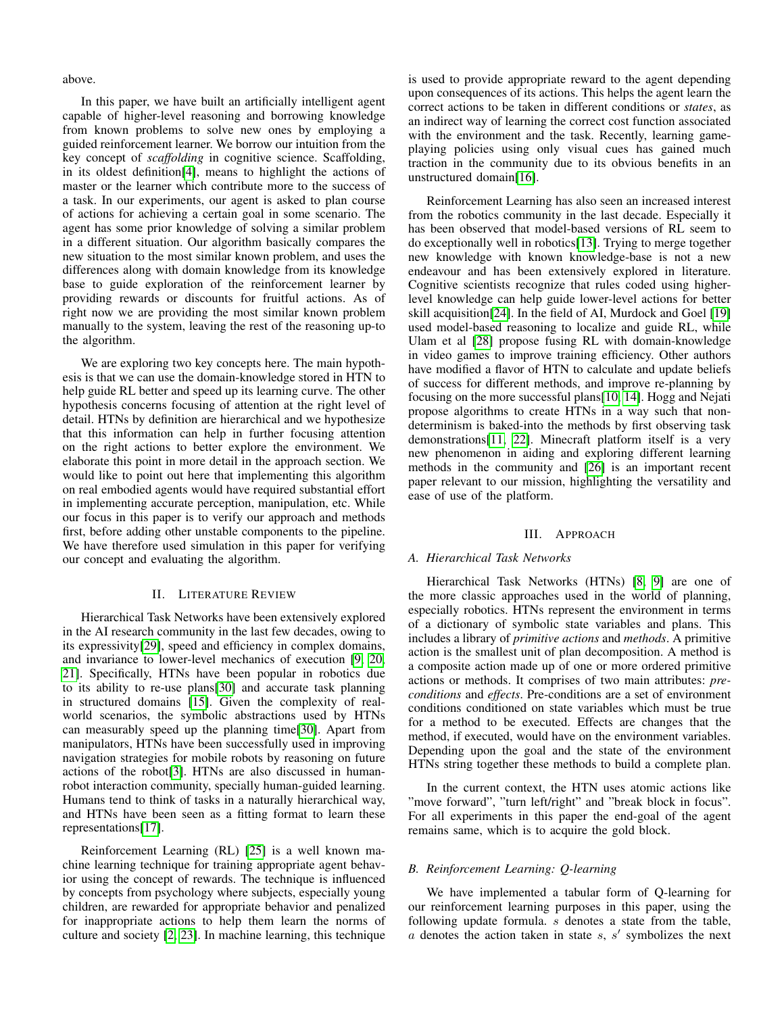above.

In this paper, we have built an artificially intelligent agent capable of higher-level reasoning and borrowing knowledge from known problems to solve new ones by employing a guided reinforcement learner. We borrow our intuition from the key concept of *scaffolding* in cognitive science. Scaffolding, in its oldest definition[\[4\]](#page-5-3), means to highlight the actions of master or the learner which contribute more to the success of a task. In our experiments, our agent is asked to plan course of actions for achieving a certain goal in some scenario. The agent has some prior knowledge of solving a similar problem in a different situation. Our algorithm basically compares the new situation to the most similar known problem, and uses the differences along with domain knowledge from its knowledge base to guide exploration of the reinforcement learner by providing rewards or discounts for fruitful actions. As of right now we are providing the most similar known problem manually to the system, leaving the rest of the reasoning up-to the algorithm.

We are exploring two key concepts here. The main hypothesis is that we can use the domain-knowledge stored in HTN to help guide RL better and speed up its learning curve. The other hypothesis concerns focusing of attention at the right level of detail. HTNs by definition are hierarchical and we hypothesize that this information can help in further focusing attention on the right actions to better explore the environment. We elaborate this point in more detail in the approach section. We would like to point out here that implementing this algorithm on real embodied agents would have required substantial effort in implementing accurate perception, manipulation, etc. While our focus in this paper is to verify our approach and methods first, before adding other unstable components to the pipeline. We have therefore used simulation in this paper for verifying our concept and evaluating the algorithm.

#### II. LITERATURE REVIEW

Hierarchical Task Networks have been extensively explored in the AI research community in the last few decades, owing to its expressivity[\[29\]](#page-6-1), speed and efficiency in complex domains, and invariance to lower-level mechanics of execution [\[9,](#page-5-4) [20,](#page-6-2) [21\]](#page-6-3). Specifically, HTNs have been popular in robotics due to its ability to re-use plans[\[30\]](#page-6-4) and accurate task planning in structured domains [\[15\]](#page-6-5). Given the complexity of realworld scenarios, the symbolic abstractions used by HTNs can measurably speed up the planning time[\[30\]](#page-6-4). Apart from manipulators, HTNs have been successfully used in improving navigation strategies for mobile robots by reasoning on future actions of the robot[\[3\]](#page-5-5). HTNs are also discussed in humanrobot interaction community, specially human-guided learning. Humans tend to think of tasks in a naturally hierarchical way, and HTNs have been seen as a fitting format to learn these representations[\[17\]](#page-6-6).

Reinforcement Learning (RL) [\[25\]](#page-6-7) is a well known machine learning technique for training appropriate agent behavior using the concept of rewards. The technique is influenced by concepts from psychology where subjects, especially young children, are rewarded for appropriate behavior and penalized for inappropriate actions to help them learn the norms of culture and society [\[2,](#page-5-6) [23\]](#page-6-8). In machine learning, this technique is used to provide appropriate reward to the agent depending upon consequences of its actions. This helps the agent learn the correct actions to be taken in different conditions or *states*, as an indirect way of learning the correct cost function associated with the environment and the task. Recently, learning gameplaying policies using only visual cues has gained much traction in the community due to its obvious benefits in an unstructured domain[\[16\]](#page-6-9).

Reinforcement Learning has also seen an increased interest from the robotics community in the last decade. Especially it has been observed that model-based versions of RL seem to do exceptionally well in robotics[\[13\]](#page-6-10). Trying to merge together new knowledge with known knowledge-base is not a new endeavour and has been extensively explored in literature. Cognitive scientists recognize that rules coded using higherlevel knowledge can help guide lower-level actions for better skill acquisition[\[24\]](#page-6-11). In the field of AI, Murdock and Goel [\[19\]](#page-6-12) used model-based reasoning to localize and guide RL, while Ulam et al [\[28\]](#page-6-13) propose fusing RL with domain-knowledge in video games to improve training efficiency. Other authors have modified a flavor of HTN to calculate and update beliefs of success for different methods, and improve re-planning by focusing on the more successful plans[\[10,](#page-5-7) [14\]](#page-6-14). Hogg and Nejati propose algorithms to create HTNs in a way such that nondeterminism is baked-into the methods by first observing task demonstrations[\[11,](#page-5-8) [22\]](#page-6-15). Minecraft platform itself is a very new phenomenon in aiding and exploring different learning methods in the community and [\[26\]](#page-6-16) is an important recent paper relevant to our mission, highlighting the versatility and ease of use of the platform.

## III. APPROACH

## <span id="page-1-0"></span>*A. Hierarchical Task Networks*

Hierarchical Task Networks (HTNs) [\[8,](#page-5-9) [9\]](#page-5-4) are one of the more classic approaches used in the world of planning, especially robotics. HTNs represent the environment in terms of a dictionary of symbolic state variables and plans. This includes a library of *primitive actions* and *methods*. A primitive action is the smallest unit of plan decomposition. A method is a composite action made up of one or more ordered primitive actions or methods. It comprises of two main attributes: *preconditions* and *effects*. Pre-conditions are a set of environment conditions conditioned on state variables which must be true for a method to be executed. Effects are changes that the method, if executed, would have on the environment variables. Depending upon the goal and the state of the environment HTNs string together these methods to build a complete plan.

In the current context, the HTN uses atomic actions like "move forward", "turn left/right" and "break block in focus". For all experiments in this paper the end-goal of the agent remains same, which is to acquire the gold block.

## *B. Reinforcement Learning: Q-learning*

We have implemented a tabular form of Q-learning for our reinforcement learning purposes in this paper, using the following update formula. s denotes a state from the table,  $a$  denotes the action taken in state  $s$ ,  $s'$  symbolizes the next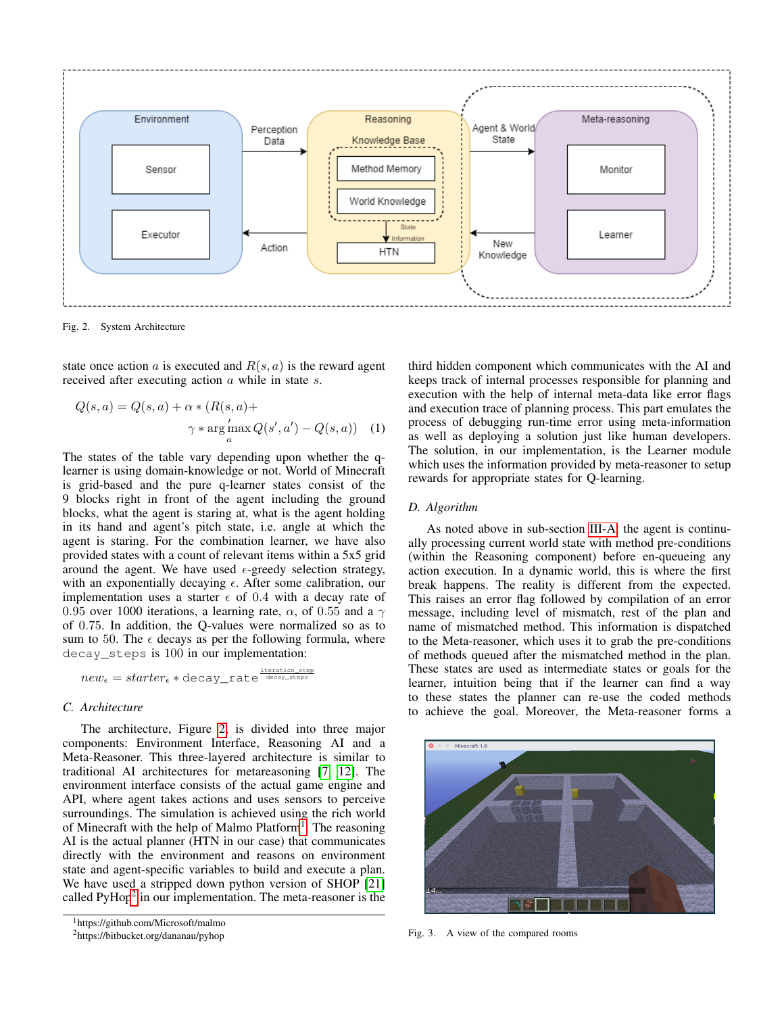

<span id="page-2-0"></span>Fig. 2. System Architecture

state once action a is executed and  $R(s, a)$  is the reward agent received after executing action a while in state s.

$$
Q(s, a) = Q(s, a) + \alpha * (R(s, a) +
$$
  

$$
\gamma * \arg \max_{a} Q(s', a') - Q(s, a))
$$
 (1)

The states of the table vary depending upon whether the qlearner is using domain-knowledge or not. World of Minecraft is grid-based and the pure q-learner states consist of the 9 blocks right in front of the agent including the ground blocks, what the agent is staring at, what is the agent holding in its hand and agent's pitch state, i.e. angle at which the agent is staring. For the combination learner, we have also provided states with a count of relevant items within a 5x5 grid around the agent. We have used  $\epsilon$ -greedy selection strategy, with an exponentially decaying  $\epsilon$ . After some calibration, our implementation uses a starter  $\epsilon$  of 0.4 with a decay rate of 0.95 over 1000 iterations, a learning rate,  $\alpha$ , of 0.55 and a  $\gamma$ of 0.75. In addition, the Q-values were normalized so as to sum to 50. The  $\epsilon$  decays as per the following formula, where decay\_steps is 100 in our implementation:

$$
\mathit{new}_\epsilon = \mathit{starter}_\epsilon * \texttt{decay\_rate}^\frac{\textit{iteration\_step}}{\texttt{decay\_steps}}
$$

## *C. Architecture*

The architecture, Figure [2,](#page-2-0) is divided into three major components: Environment Interface, Reasoning AI and a Meta-Reasoner. This three-layered architecture is similar to traditional AI architectures for metareasoning [\[7,](#page-5-10) [12\]](#page-5-11). The environment interface consists of the actual game engine and API, where agent takes actions and uses sensors to perceive surroundings. The simulation is achieved using the rich world of Minecraft with the help of Malmo Platform<sup>[1](#page-2-1)</sup>. The reasoning AI is the actual planner (HTN in our case) that communicates directly with the environment and reasons on environment state and agent-specific variables to build and execute a plan. We have used a stripped down python version of SHOP [\[21\]](#page-6-3) called  $PyHop<sup>2</sup>$  $PyHop<sup>2</sup>$  $PyHop<sup>2</sup>$  in our implementation. The meta-reasoner is the

third hidden component which communicates with the AI and keeps track of internal processes responsible for planning and execution with the help of internal meta-data like error flags and execution trace of planning process. This part emulates the process of debugging run-time error using meta-information as well as deploying a solution just like human developers. The solution, in our implementation, is the Learner module which uses the information provided by meta-reasoner to setup rewards for appropriate states for Q-learning.

## *D. Algorithm*

As noted above in sub-section [III-A,](#page-1-0) the agent is continually processing current world state with method pre-conditions (within the Reasoning component) before en-queueing any action execution. In a dynamic world, this is where the first break happens. The reality is different from the expected. This raises an error flag followed by compilation of an error message, including level of mismatch, rest of the plan and name of mismatched method. This information is dispatched to the Meta-reasoner, which uses it to grab the pre-conditions of methods queued after the mismatched method in the plan. These states are used as intermediate states or goals for the learner, intuition being that if the learner can find a way to these states the planner can re-use the coded methods to achieve the goal. Moreover, the Meta-reasoner forms a

<span id="page-2-3"></span>

Fig. 3. A view of the compared rooms

<span id="page-2-1"></span><sup>1</sup>https://github.com/Microsoft/malmo

<span id="page-2-2"></span><sup>2</sup>https://bitbucket.org/dananau/pyhop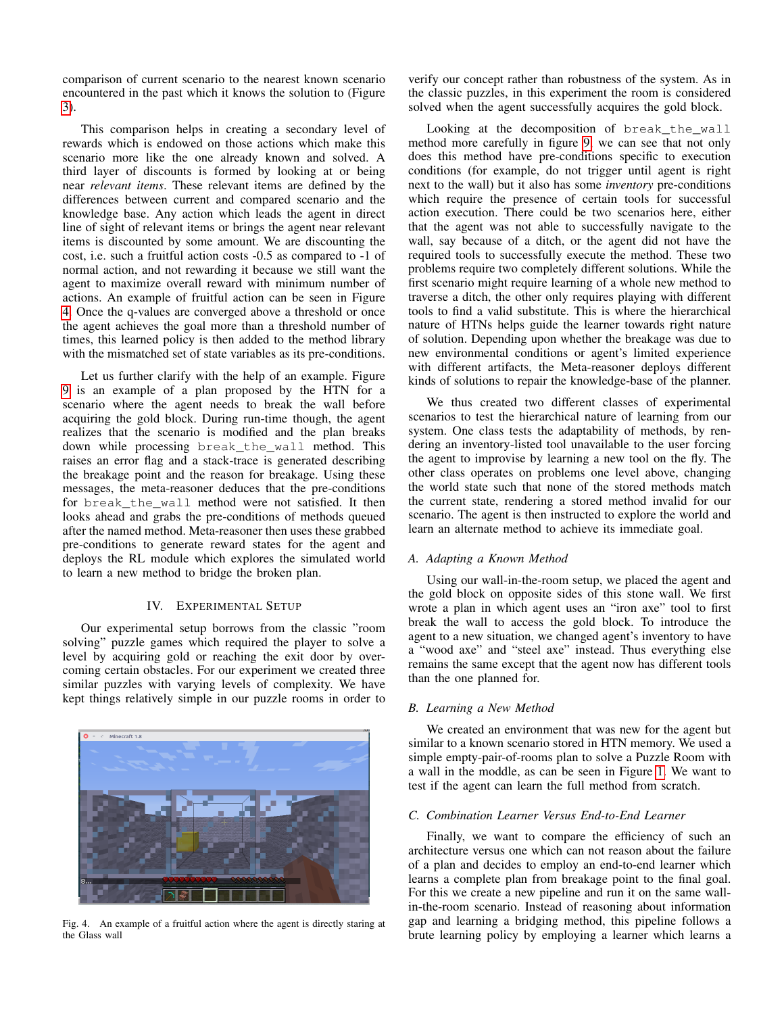comparison of current scenario to the nearest known scenario encountered in the past which it knows the solution to (Figure [3\)](#page-2-3).

This comparison helps in creating a secondary level of rewards which is endowed on those actions which make this scenario more like the one already known and solved. A third layer of discounts is formed by looking at or being near *relevant items*. These relevant items are defined by the differences between current and compared scenario and the knowledge base. Any action which leads the agent in direct line of sight of relevant items or brings the agent near relevant items is discounted by some amount. We are discounting the cost, i.e. such a fruitful action costs -0.5 as compared to -1 of normal action, and not rewarding it because we still want the agent to maximize overall reward with minimum number of actions. An example of fruitful action can be seen in Figure [4.](#page-3-0) Once the q-values are converged above a threshold or once the agent achieves the goal more than a threshold number of times, this learned policy is then added to the method library with the mismatched set of state variables as its pre-conditions.

Let us further clarify with the help of an example. Figure [9](#page-6-17) is an example of a plan proposed by the HTN for a scenario where the agent needs to break the wall before acquiring the gold block. During run-time though, the agent realizes that the scenario is modified and the plan breaks down while processing break\_the\_wall method. This raises an error flag and a stack-trace is generated describing the breakage point and the reason for breakage. Using these messages, the meta-reasoner deduces that the pre-conditions for break\_the\_wall method were not satisfied. It then looks ahead and grabs the pre-conditions of methods queued after the named method. Meta-reasoner then uses these grabbed pre-conditions to generate reward states for the agent and deploys the RL module which explores the simulated world to learn a new method to bridge the broken plan.

# IV. EXPERIMENTAL SETUP

Our experimental setup borrows from the classic "room solving" puzzle games which required the player to solve a level by acquiring gold or reaching the exit door by overcoming certain obstacles. For our experiment we created three similar puzzles with varying levels of complexity. We have kept things relatively simple in our puzzle rooms in order to

<span id="page-3-0"></span>

Fig. 4. An example of a fruitful action where the agent is directly staring at the Glass wall

verify our concept rather than robustness of the system. As in the classic puzzles, in this experiment the room is considered solved when the agent successfully acquires the gold block.

Looking at the decomposition of break\_the\_wall method more carefully in figure [9,](#page-6-17) we can see that not only does this method have pre-conditions specific to execution conditions (for example, do not trigger until agent is right next to the wall) but it also has some *inventory* pre-conditions which require the presence of certain tools for successful action execution. There could be two scenarios here, either that the agent was not able to successfully navigate to the wall, say because of a ditch, or the agent did not have the required tools to successfully execute the method. These two problems require two completely different solutions. While the first scenario might require learning of a whole new method to traverse a ditch, the other only requires playing with different tools to find a valid substitute. This is where the hierarchical nature of HTNs helps guide the learner towards right nature of solution. Depending upon whether the breakage was due to new environmental conditions or agent's limited experience with different artifacts, the Meta-reasoner deploys different kinds of solutions to repair the knowledge-base of the planner.

We thus created two different classes of experimental scenarios to test the hierarchical nature of learning from our system. One class tests the adaptability of methods, by rendering an inventory-listed tool unavailable to the user forcing the agent to improvise by learning a new tool on the fly. The other class operates on problems one level above, changing the world state such that none of the stored methods match the current state, rendering a stored method invalid for our scenario. The agent is then instructed to explore the world and learn an alternate method to achieve its immediate goal.

## *A. Adapting a Known Method*

Using our wall-in-the-room setup, we placed the agent and the gold block on opposite sides of this stone wall. We first wrote a plan in which agent uses an "iron axe" tool to first break the wall to access the gold block. To introduce the agent to a new situation, we changed agent's inventory to have a "wood axe" and "steel axe" instead. Thus everything else remains the same except that the agent now has different tools than the one planned for.

## *B. Learning a New Method*

We created an environment that was new for the agent but similar to a known scenario stored in HTN memory. We used a simple empty-pair-of-rooms plan to solve a Puzzle Room with a wall in the moddle, as can be seen in Figure [1.](#page-0-0) We want to test if the agent can learn the full method from scratch.

# *C. Combination Learner Versus End-to-End Learner*

Finally, we want to compare the efficiency of such an architecture versus one which can not reason about the failure of a plan and decides to employ an end-to-end learner which learns a complete plan from breakage point to the final goal. For this we create a new pipeline and run it on the same wallin-the-room scenario. Instead of reasoning about information gap and learning a bridging method, this pipeline follows a brute learning policy by employing a learner which learns a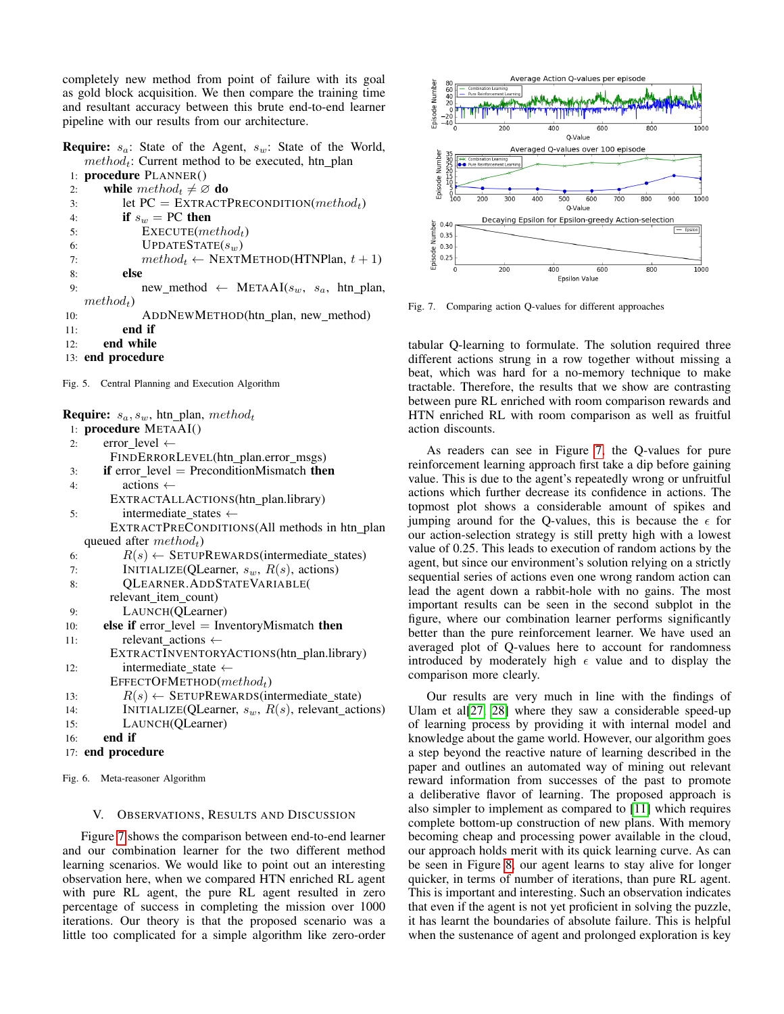completely new method from point of failure with its goal as gold block acquisition. We then compare the training time and resultant accuracy between this brute end-to-end learner pipeline with our results from our architecture.

**Require:**  $s_a$ : State of the Agent,  $s_w$ : State of the World,  $method_t$ : Current method to be executed, htn\_plan

```
1: procedure PLANNER()
2: while method_t \neq \emptyset do
3: let PC = EXTRACTPRECONDITION(method<sub>t</sub>)4: if s_w = PC then
5: \qquad \qquad EXECUTE(method<sub>t</sub>)
6: UPDATESTATE(s_w)7: \text{method}_t \leftarrow \text{NextMETHOD}(\text{HTNPlan}, t+1)8: else
9: new_method ← METAAI(s_w, s_a, htn_plan,
   method_t10: ADDNEWMETHOD(htn_plan, new_method)
11: end if
12: end while
13: end procedure
```
Fig. 5. Central Planning and Execution Algorithm

**Require:**  $s_a$ ,  $s_w$ , htn\_plan, method<sub>t</sub>

- 1: procedure METAAI()
- 2: error\_level  $\leftarrow$ FINDERRORLEVEL(htn\_plan.error\_msgs)
- 3: if error level = PreconditionMismatch then
- 4:  $\qquad \qquad \text{actions} \leftarrow$ EXTRACTALLACTIONS(htn\_plan.library) 5: intermediate states ←

EXTRACTPRECONDITIONS(All methods in htn plan queued after  $method_t$ )

```
6: R(s) \leftarrow SETUPREWARDS(intermediate_states)
```

```
7: INITIALIZE(QLearner, s_w, R(s), actions)
```

```
8: QLEARNER.ADDSTATEVARIABLE(
```

```
relevant_item_count)
```

```
9: LAUNCH(QLearner)
```

```
10: else if error level = InventoryMismatch then
```

```
11: relevant actions ←
```

```
EXTRACTINVENTORYACTIONS(htn_plan.library)
12: intermediate state ←
```

```
EFFECTOFMETHOD(method_t)
```

```
13: R(s) \leftarrow SETUPREWARDS(intermediate_state)
```

```
14: INITIALIZE(QLearner, s_w, R(s), relevant actions)
```

```
15: LAUNCH(QLearner)
```

```
16: end if
```

```
17: end procedure
```

```
Fig. 6. Meta-reasoner Algorithm
```
# V. OBSERVATIONS, RESULTS AND DISCUSSION

Figure [7](#page-4-0) shows the comparison between end-to-end learner and our combination learner for the two different method learning scenarios. We would like to point out an interesting observation here, when we compared HTN enriched RL agent with pure RL agent, the pure RL agent resulted in zero percentage of success in completing the mission over 1000 iterations. Our theory is that the proposed scenario was a little too complicated for a simple algorithm like zero-order



<span id="page-4-0"></span>Fig. 7. Comparing action Q-values for different approaches

tabular Q-learning to formulate. The solution required three different actions strung in a row together without missing a beat, which was hard for a no-memory technique to make tractable. Therefore, the results that we show are contrasting between pure RL enriched with room comparison rewards and HTN enriched RL with room comparison as well as fruitful action discounts.

As readers can see in Figure [7,](#page-4-0) the Q-values for pure reinforcement learning approach first take a dip before gaining value. This is due to the agent's repeatedly wrong or unfruitful actions which further decrease its confidence in actions. The topmost plot shows a considerable amount of spikes and jumping around for the Q-values, this is because the  $\epsilon$  for our action-selection strategy is still pretty high with a lowest value of 0.25. This leads to execution of random actions by the agent, but since our environment's solution relying on a strictly sequential series of actions even one wrong random action can lead the agent down a rabbit-hole with no gains. The most important results can be seen in the second subplot in the figure, where our combination learner performs significantly better than the pure reinforcement learner. We have used an averaged plot of Q-values here to account for randomness introduced by moderately high  $\epsilon$  value and to display the comparison more clearly.

Our results are very much in line with the findings of Ulam et al[\[27,](#page-6-18) [28\]](#page-6-13) where they saw a considerable speed-up of learning process by providing it with internal model and knowledge about the game world. However, our algorithm goes a step beyond the reactive nature of learning described in the paper and outlines an automated way of mining out relevant reward information from successes of the past to promote a deliberative flavor of learning. The proposed approach is also simpler to implement as compared to [\[11\]](#page-5-8) which requires complete bottom-up construction of new plans. With memory becoming cheap and processing power available in the cloud, our approach holds merit with its quick learning curve. As can be seen in Figure [8,](#page-5-12) our agent learns to stay alive for longer quicker, in terms of number of iterations, than pure RL agent. This is important and interesting. Such an observation indicates that even if the agent is not yet proficient in solving the puzzle, it has learnt the boundaries of absolute failure. This is helpful when the sustenance of agent and prolonged exploration is key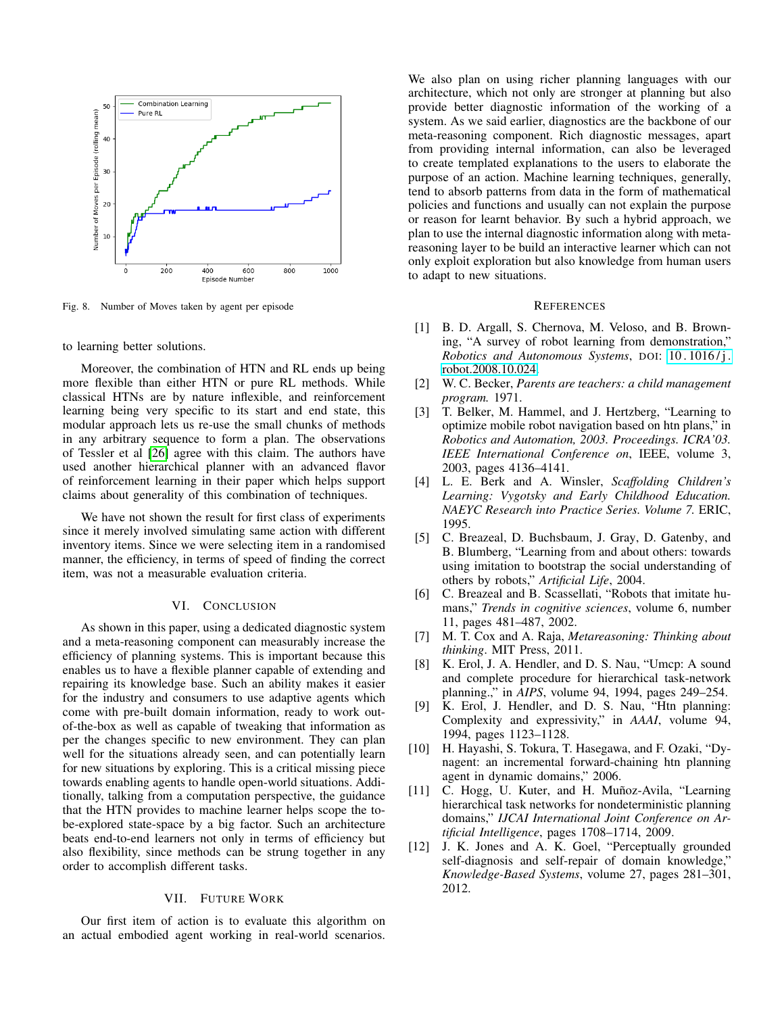

<span id="page-5-12"></span>Fig. 8. Number of Moves taken by agent per episode

to learning better solutions.

Moreover, the combination of HTN and RL ends up being more flexible than either HTN or pure RL methods. While classical HTNs are by nature inflexible, and reinforcement learning being very specific to its start and end state, this modular approach lets us re-use the small chunks of methods in any arbitrary sequence to form a plan. The observations of Tessler et al [\[26\]](#page-6-16) agree with this claim. The authors have used another hierarchical planner with an advanced flavor of reinforcement learning in their paper which helps support claims about generality of this combination of techniques.

We have not shown the result for first class of experiments since it merely involved simulating same action with different inventory items. Since we were selecting item in a randomised manner, the efficiency, in terms of speed of finding the correct item, was not a measurable evaluation criteria.

## VI. CONCLUSION

As shown in this paper, using a dedicated diagnostic system and a meta-reasoning component can measurably increase the efficiency of planning systems. This is important because this enables us to have a flexible planner capable of extending and repairing its knowledge base. Such an ability makes it easier for the industry and consumers to use adaptive agents which come with pre-built domain information, ready to work outof-the-box as well as capable of tweaking that information as per the changes specific to new environment. They can plan well for the situations already seen, and can potentially learn for new situations by exploring. This is a critical missing piece towards enabling agents to handle open-world situations. Additionally, talking from a computation perspective, the guidance that the HTN provides to machine learner helps scope the tobe-explored state-space by a big factor. Such an architecture beats end-to-end learners not only in terms of efficiency but also flexibility, since methods can be strung together in any order to accomplish different tasks.

#### VII. FUTURE WORK

Our first item of action is to evaluate this algorithm on an actual embodied agent working in real-world scenarios.

We also plan on using richer planning languages with our architecture, which not only are stronger at planning but also provide better diagnostic information of the working of a system. As we said earlier, diagnostics are the backbone of our meta-reasoning component. Rich diagnostic messages, apart from providing internal information, can also be leveraged to create templated explanations to the users to elaborate the purpose of an action. Machine learning techniques, generally, tend to absorb patterns from data in the form of mathematical policies and functions and usually can not explain the purpose or reason for learnt behavior. By such a hybrid approach, we plan to use the internal diagnostic information along with metareasoning layer to be build an interactive learner which can not only exploit exploration but also knowledge from human users to adapt to new situations.

#### **REFERENCES**

- <span id="page-5-0"></span>[1] B. D. Argall, S. Chernova, M. Veloso, and B. Browning, "A survey of robot learning from demonstration," *Robotics and Autonomous Systems*, DOI: [10 . 1016 / j .](http://dx.doi.org/10.1016/j.robot.2008.10.024) [robot.2008.10.024.](http://dx.doi.org/10.1016/j.robot.2008.10.024)
- <span id="page-5-6"></span>[2] W. C. Becker, *Parents are teachers: a child management program.* 1971.
- <span id="page-5-5"></span>[3] T. Belker, M. Hammel, and J. Hertzberg, "Learning to optimize mobile robot navigation based on htn plans," in *Robotics and Automation, 2003. Proceedings. ICRA'03. IEEE International Conference on*, IEEE, volume 3, 2003, pages 4136–4141.
- <span id="page-5-3"></span>[4] L. E. Berk and A. Winsler, *Scaffolding Children's Learning: Vygotsky and Early Childhood Education. NAEYC Research into Practice Series. Volume 7.* ERIC, 1995.
- <span id="page-5-1"></span>[5] C. Breazeal, D. Buchsbaum, J. Gray, D. Gatenby, and B. Blumberg, "Learning from and about others: towards using imitation to bootstrap the social understanding of others by robots," *Artificial Life*, 2004.
- <span id="page-5-2"></span>[6] C. Breazeal and B. Scassellati, "Robots that imitate humans," *Trends in cognitive sciences*, volume 6, number 11, pages 481–487, 2002.
- <span id="page-5-10"></span>[7] M. T. Cox and A. Raja, *Metareasoning: Thinking about thinking*. MIT Press, 2011.
- <span id="page-5-9"></span>[8] K. Erol, J. A. Hendler, and D. S. Nau, "Umcp: A sound and complete procedure for hierarchical task-network planning.," in *AIPS*, volume 94, 1994, pages 249–254.
- <span id="page-5-4"></span>[9] K. Erol, J. Hendler, and D. S. Nau, "Htn planning: Complexity and expressivity," in *AAAI*, volume 94, 1994, pages 1123–1128.
- <span id="page-5-7"></span>[10] H. Hayashi, S. Tokura, T. Hasegawa, and F. Ozaki, "Dynagent: an incremental forward-chaining htn planning agent in dynamic domains," 2006.
- <span id="page-5-8"></span>[11] C. Hogg, U. Kuter, and H. Muñoz-Avila, "Learning hierarchical task networks for nondeterministic planning domains," *IJCAI International Joint Conference on Artificial Intelligence*, pages 1708–1714, 2009.
- <span id="page-5-11"></span>[12] J. K. Jones and A. K. Goel, "Perceptually grounded self-diagnosis and self-repair of domain knowledge," *Knowledge-Based Systems*, volume 27, pages 281–301, 2012.